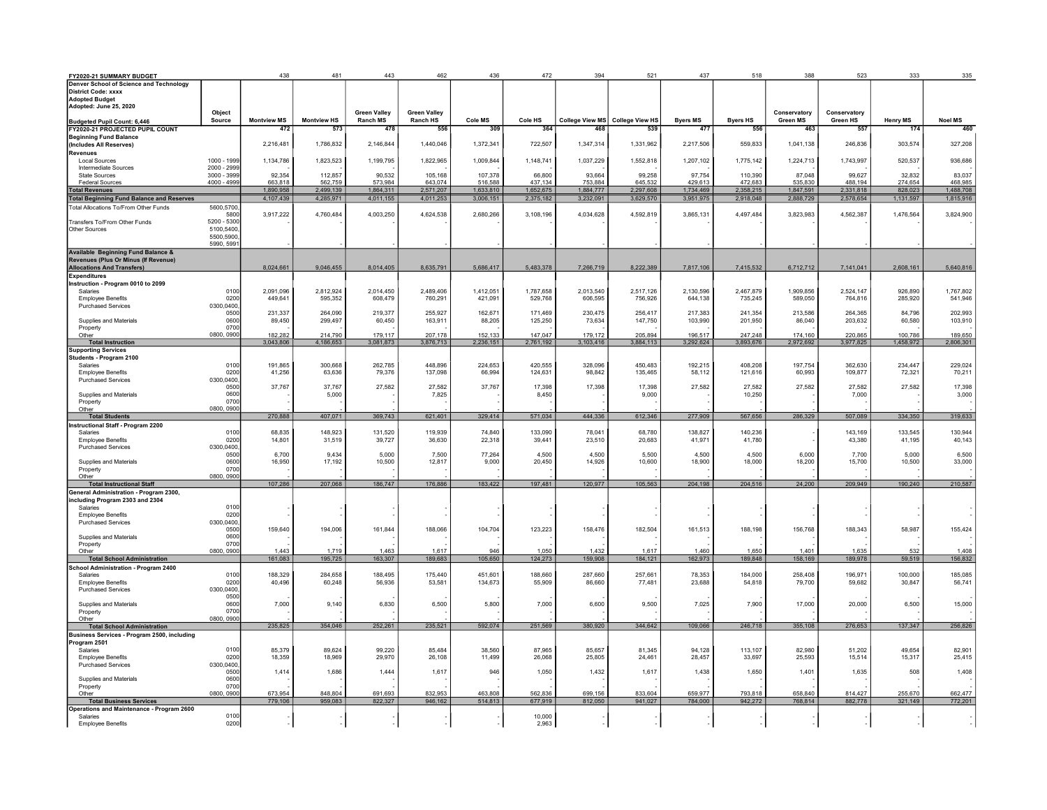| FY2020-21 SUMMARY BUDGET                                                   |                           | 438                | 481                | 443                 | 462                 | 436            | 472       | 394       | 521                             | 437             | 518             | 388             | 523          | 333             | 335            |
|----------------------------------------------------------------------------|---------------------------|--------------------|--------------------|---------------------|---------------------|----------------|-----------|-----------|---------------------------------|-----------------|-----------------|-----------------|--------------|-----------------|----------------|
| <b>Denver School of Science and Technology</b>                             |                           |                    |                    |                     |                     |                |           |           |                                 |                 |                 |                 |              |                 |                |
| <b>District Code: xxxx</b>                                                 |                           |                    |                    |                     |                     |                |           |           |                                 |                 |                 |                 |              |                 |                |
| <b>Adopted Budget</b>                                                      |                           |                    |                    |                     |                     |                |           |           |                                 |                 |                 |                 |              |                 |                |
| Adopted: June 25, 2020                                                     |                           |                    |                    |                     |                     |                |           |           |                                 |                 |                 |                 |              |                 |                |
|                                                                            | Object                    |                    |                    | <b>Green Valley</b> | <b>Green Valley</b> |                |           |           |                                 |                 |                 | Conservatory    | Conservatory |                 |                |
| Budgeted Pupil Count: 6,446                                                | Source                    | <b>Montview MS</b> | <b>Montview HS</b> | <b>Ranch MS</b>     | Ranch HS            | <b>Cole MS</b> | Cole HS   |           | College View MS College View HS | <b>Byers MS</b> | <b>Byers HS</b> | <b>Green MS</b> | Green HS     | <b>Henry MS</b> | <b>Noel MS</b> |
| FY2020-21 PROJECTED PUPIL COUNT                                            |                           | 472                | 573                | 478                 | 556                 | 309            | 364       | 468       | 539                             | 477             | 556             | 463             | 557          | 174             | 460            |
| <b>Beginning Fund Balance</b>                                              |                           |                    |                    |                     |                     |                |           |           |                                 |                 |                 |                 |              |                 |                |
| (Includes All Reserves)                                                    |                           | 2,216,481          | 1,786,832          | 2,146,844           | 1,440,046           | 1,372,341      | 722,507   | 1,347,314 | 1,331,962                       | 2,217,506       | 559,833         | 1,041,138       | 246,836      | 303,574         | 327,208        |
| <b>Revenues</b>                                                            |                           |                    |                    |                     |                     |                |           |           |                                 |                 |                 |                 |              |                 |                |
| Local Sources                                                              | 1000 - 1999               | 1,134,786          | 1,823,523          | 1,199,795           | 1,822,965           | 1,009,844      | 1.148.741 | 1,037,229 | 1,552,818                       | 1,207,102       | 1,775,142       | 1,224,713       | 1,743,997    | 520,537         | 936,686        |
| Intermediate Sources                                                       | 2000 - 2999               |                    |                    |                     |                     |                |           |           |                                 |                 |                 |                 |              |                 |                |
| <b>State Sources</b>                                                       | 3000 - 399<br>4000 - 4999 | 92,354             | 112,857            | 90,532              | 105,168             | 107,378        | 66,800    | 93,664    | 99,258                          | 97,754          | 110,390         | 87,048          | 99,627       | 32,832          | 83,037         |
| Federal Sources                                                            |                           | 663,818            | 562,759            | 573,984             | 643,074             | 516,588        | 437,134   | 753,884   | 645,532                         | 429,613         | 472,683         | 535,830         | 488,194      | 274,654         | 468,985        |
| <b>Total Revenues</b>                                                      |                           | 1,890,958          | 2,499,139          | 1,864,311           | 2,571,207           | 1,633,810      | 1,652,675 | 1,884,777 | 2,297,608                       | 1,734,469       | 2,358,215       | 1,847,591       | 2,331,818    | 828,023         | 1,488,708      |
| <b>Total Beginning Fund Balance and Reserves</b>                           |                           | 4,107,439          | 4,285,971          | 4,011,155           | 4,011,253           | 3,006,151      | 2,375,182 | 3,232,091 | 3,629,570                       | 3,951,975       | 2,918,048       | 2,888,729       | 2,578,654    | 1,131,597       | 1,815,916      |
| Total Allocations To/From Other Funds                                      | 5600,5700                 |                    |                    |                     |                     |                |           |           |                                 |                 |                 |                 |              |                 |                |
|                                                                            | 580                       | 3,917,222          | 4,760,484          | 4,003,250           | 4,624,538           | 2,680,266      | 3,108,196 | 4,034,628 | 4,592,819                       | 3,865,131       | 4,497,484       | 3,823,983       | 4,562,387    | 1,476,564       | 3,824,900      |
| Transfers To/From Other Funds                                              | 5200 - 5300<br>5100.5400  |                    |                    |                     |                     |                |           |           |                                 |                 |                 |                 |              |                 |                |
| <b>Other Sources</b>                                                       |                           |                    |                    |                     |                     |                |           |           |                                 |                 |                 |                 |              |                 |                |
|                                                                            | 5500,5900<br>5990, 599    |                    |                    |                     |                     |                |           |           |                                 |                 |                 |                 |              |                 |                |
|                                                                            |                           |                    |                    |                     |                     |                |           |           |                                 |                 |                 |                 |              |                 |                |
| Available Beginning Fund Balance &<br>Revenues (Plus Or Minus (If Revenue) |                           |                    |                    |                     |                     |                |           |           |                                 |                 |                 |                 |              |                 |                |
| <b>Allocations And Transfers)</b>                                          |                           | 8,024,661          | 9,046,455          | 8,014,405           | 8,635,791           | 5,686,417      | 5,483,378 |           | 8,222,389                       | 7,817,106       | 7,415,532       | 6,712,712       |              | 2,608,161       | 5,640,816      |
|                                                                            |                           |                    |                    |                     |                     |                |           | 7,266,719 |                                 |                 |                 |                 | 7,141,041    |                 |                |
| <b>Expenditures</b>                                                        |                           |                    |                    |                     |                     |                |           |           |                                 |                 |                 |                 |              |                 |                |
| Instruction - Program 0010 to 2099                                         |                           |                    |                    |                     |                     |                |           |           |                                 |                 |                 |                 |              |                 |                |
| Salaries                                                                   | 0100                      | 2,091,096          | 2,812,924          | 2,014,450           | 2,489,406           | 1,412,051      | 1,787,658 | 2,013,540 | 2,517,126                       | 2,130,596       | 2,467,879       | 1,909,856       | 2,524,147    | 926,890         | 1,767,802      |
| <b>Employee Benefits</b><br><b>Purchased Services</b>                      | 020<br>0300,0400          | 449,641            | 595,352            | 608,479             | 760,291             | 421,091        | 529,768   | 606,595   | 756.926                         | 644,138         | 735.245         | 589,050         | 764.816      | 285,920         | 541,946        |
|                                                                            | 0500                      | 231,337            | 264,090            | 219,377             | 255,927             | 162,671        | 171,469   | 230,475   | 256,417                         | 217,383         | 241,354         | 213,586         | 264.365      | 84,796          | 202,993        |
| Supplies and Materials                                                     | 060                       | 89,450             | 299,497            | 60,450              | 163,911             | 88,205         | 125,250   | 73,634    | 147,750                         | 103,990         | 201,950         | 86,040          | 203,632      | 60,580          | 103,910        |
| Property                                                                   | 0700                      |                    |                    |                     |                     |                |           |           |                                 |                 |                 |                 |              |                 |                |
| Other                                                                      | 0800, 0900                | 182,282            | 214,790            | 179.117             | 207,178             | 152.133        | 147.047   | 179.172   | 205.894                         | 196.517         | 247.248         | 174,160         | 220.865      | 100,786         | 189,650        |
| <b>Total Instruction</b>                                                   |                           | 3,043,806          | 4,186,653          | 3,081,873           | 3,876,713           | 2,236,151      | 2,761,192 | 3,103,416 | 3,884,113                       | 3,292,624       | 3,893,676       | 2,972,692       | 3,977,825    | 1,458,972       | 2,806,301      |
| <b>Supporting Services</b>                                                 |                           |                    |                    |                     |                     |                |           |           |                                 |                 |                 |                 |              |                 |                |
| Students - Program 2100                                                    |                           |                    |                    |                     |                     |                |           |           |                                 |                 |                 |                 |              |                 |                |
| Salaries                                                                   | 0100                      | 191,865            | 300.668            | 262,785             | 448,896             | 224.653        | 420,555   | 328,096   | 450 483                         | 192,215         | 408,208         | 197.754         | 362.630      | 234,447         | 229,024        |
| <b>Employee Benefits</b>                                                   | 020                       | 41,256             | 63,636             | 79,376              | 137,098             | 66,994         | 124,631   | 98,842    | 135.465                         | 58,112          | 121,616         | 60,993          | 109,877      | 72,321          | 70,211         |
| <b>Purchased Services</b>                                                  | 0300.0400                 |                    |                    |                     |                     |                |           |           |                                 |                 |                 |                 |              |                 |                |
|                                                                            | 050                       | 37,767             | 37.767             | 27,582              | 27,582              | 37,767         | 17,398    | 17,398    | 17.398                          | 27,582          | 27,582          | 27,582          | 27.582       | 27,582          | 17,398         |
| Supplies and Materials                                                     | 060                       |                    | 5,000              |                     | 7,825               |                | 8,450     |           | 9,000                           |                 | 10,250          |                 | 7,000        |                 | 3,000          |
| Property                                                                   | 0700                      |                    |                    |                     |                     |                |           |           |                                 |                 |                 |                 |              |                 |                |
| Other                                                                      | 0800, 0900                |                    |                    |                     |                     |                |           |           |                                 |                 |                 |                 |              |                 |                |
| <b>Total Students</b>                                                      |                           | 270,888            | 407,071            | 369,743             | 621,401             | 329,414        | 571,034   | 444,336   | 612,346                         | 277,909         | 567,656         | 286,329         | 507,089      | 334,350         | 319,633        |
| Instructional Staff - Program 2200                                         |                           |                    |                    |                     |                     |                |           |           |                                 |                 |                 |                 |              |                 |                |
| Salaries                                                                   | 0100                      | 68.835             | 148.923            | 131.520             | 119,939             | 74.840         | 133,090   | 78.041    | 68.780                          | 138.827         | 140.236         |                 | 143.169      | 133.545         | 130.944        |
| <b>Employee Benefits</b>                                                   | 0200                      | 14,801             | 31,519             | 39,727              | 36,630              | 22,318         | 39,441    | 23,510    | 20,683                          | 41,971          | 41,780          |                 | 43,380       | 41,195          | 40,143         |
| <b>Purchased Services</b>                                                  | 0300,0400                 | 6,700              | 9,434              | 5,000               | 7,500               | 77,264         | 4,500     | 4,500     | 5,500                           | 4,500           | 4,500           | 6,000           | 7,700        | 5,000           | 6,500          |
|                                                                            | 0500<br>0600              |                    |                    |                     |                     |                |           |           | 10,600                          |                 |                 | 18,200          |              |                 | 33,000         |
| Supplies and Materials<br>Property                                         | 070                       | 16,950             | 17,192             | 10,500              | 12,817              | 9,000          | 20,450    | 14,926    |                                 | 18,900          | 18,000          |                 | 15,700       | 10,500          |                |
| Other                                                                      | 0800, 090                 |                    |                    |                     |                     |                |           |           |                                 |                 |                 |                 |              |                 |                |
| <b>Total Instructional Staff</b>                                           |                           | 107,286            | 207,068            | 186,747             | 176,886             | 183,422        | 197,481   | 120,977   | 105,563                         | 204,198         | 204,516         | 24,200          | 209,949      | 190,240         | 210,587        |
| General Administration - Program 2300,                                     |                           |                    |                    |                     |                     |                |           |           |                                 |                 |                 |                 |              |                 |                |
| including Program 2303 and 2304                                            |                           |                    |                    |                     |                     |                |           |           |                                 |                 |                 |                 |              |                 |                |
| Salaries                                                                   | 0100                      |                    |                    |                     |                     |                |           |           |                                 |                 |                 |                 |              |                 |                |
| <b>Employee Benefits</b>                                                   | 0200                      |                    |                    |                     |                     |                |           |           |                                 |                 |                 |                 |              |                 |                |
| <b>Purchased Services</b>                                                  | 0300,0400                 |                    |                    |                     |                     |                |           |           |                                 |                 |                 |                 |              |                 |                |
|                                                                            | 0500                      | 159,640            | 194,006            | 161,844             | 188,066             | 104,704        | 123,223   | 158,476   | 182,504                         | 161,513         | 188,198         | 156,768         | 188,343      | 58,987          | 155,424        |
| Supplies and Materials                                                     | 0600                      |                    |                    |                     |                     |                |           |           |                                 |                 |                 |                 |              |                 |                |
| Property                                                                   | 070                       |                    |                    |                     |                     |                |           |           |                                 |                 |                 |                 |              |                 |                |
| Other                                                                      | 0800, 0900                | 1.443              | 1.719              | 1.463               | 1.617               | 946            | 1.050     | 1.432     | 1.617                           | 1.460           | 1.650           | 1.401           | 1.635        | 532             | 1.408          |
| <b>Total School Administration</b>                                         |                           | 161,083            | 195,725            | 163,307             | 189,683             | 105,650        | 124,273   | 159,908   | 184,121                         | 162,973         | 189,848         | 158,169         | 189,978      | 59,519          | 156,832        |
| School Administration - Program 2400                                       |                           |                    |                    |                     |                     |                |           |           |                                 |                 |                 |                 |              |                 |                |
| Salaries                                                                   | 0100                      | 188,329            | 284,658            | 188,495             | 175,440             | 451,601        | 188,660   | 287,660   | 257,661                         | 78,353          | 184,000         | 258,408         | 196,971      | 100,000         | 185,085        |
| <b>Employee Benefits</b>                                                   | 0200                      | 40,496             | 60,248             | 56,936              | 53,581              | 134,673        | 55,909    | 86,660    | 77,481                          | 23,688          | 54,818          | 79,700          | 59,682       | 30,847          | 56,741         |
| <b>Purchased Services</b>                                                  | 0300,0400                 |                    |                    |                     |                     |                |           |           |                                 |                 |                 |                 |              |                 |                |
|                                                                            | 0500                      |                    |                    |                     |                     |                |           |           |                                 |                 |                 |                 |              |                 |                |
| Supplies and Materials                                                     | 060                       | 7,000              | 9,140              | 6,830               | 6,500               | 5,800          | 7,000     | 6,600     | 9,500                           | 7,025           | 7,900           | 17,000          | 20,000       | 6,500           | 15,000         |
| Property                                                                   | 0700                      |                    |                    |                     |                     |                |           |           |                                 |                 |                 |                 |              |                 |                |
| Other                                                                      | 0800, 090                 | 235,825            |                    |                     |                     |                |           |           |                                 |                 |                 |                 |              | 137,347         |                |
| <b>Total School Administration</b>                                         |                           |                    | 354,046            | 252,261             | 235,521             | 592,074        | 251,569   | 380,920   | 344,642                         | 109,066         | 246,718         | 355,108         | 276,653      |                 | 256,826        |
| Business Services - Program 2500, including                                |                           |                    |                    |                     |                     |                |           |           |                                 |                 |                 |                 |              |                 |                |
| Program 2501                                                               |                           |                    |                    |                     |                     |                |           |           |                                 |                 |                 |                 |              |                 |                |
| Salaries                                                                   | 0100                      | 85.379             | 89.624             | 99.220              | 85484               | 38.560         | 87.965    | 85.657    | 81.345                          | 94.128          | 113.107         | 82.980          | 51.202       | 49.654          | 82.90          |
| <b>Employee Benefits</b>                                                   | 0200                      | 18,359             | 18,969             | 29,970              | 26,108              | 11,499         | 26,068    | 25,805    | 24,461                          | 28,457          | 33,697          | 25,593          | 15,514       | 15,317          | 25,415         |
| <b>Purchased Services</b>                                                  | 0300,0400<br>0500         | 1,414              | 1.686              | 1.444               | 1,617               | 946            | 1,050     | 1,432     | 1,617                           | 1.438           | 1,650           | 1,401           | 1,635        | 508             | 1,408          |
| Supplies and Materials                                                     | 0600                      |                    |                    |                     |                     |                |           |           |                                 |                 |                 |                 |              |                 |                |
| Property                                                                   | 0700                      |                    |                    |                     |                     |                |           |           |                                 |                 |                 |                 |              |                 |                |
| Other                                                                      | 0800, 0900                | 673.954            | 848,804            | 691,693             | 832,953             | 463.808        | 562.836   | 699,156   | 833.604                         | 659,977         | 793,818         | 658 840         | 814,427      | 255,670         | 662,477        |
| <b>Total Business Services</b>                                             |                           | 779.106            | 959 083            | 822.327             | 946.162             | 514.813        | 677.919   | 812.050   | 941.027                         | 784,000         | 942.272         | 768.814         | 882,778      | 321.149         | 772,201        |
| Operations and Maintenance - Program 2600                                  |                           |                    |                    |                     |                     |                |           |           |                                 |                 |                 |                 |              |                 |                |
| Salaries                                                                   | 0100                      |                    |                    |                     |                     |                | 10,000    |           |                                 |                 |                 |                 |              |                 |                |
| <b>Employee Benefits</b>                                                   | 0200                      |                    |                    |                     |                     |                | 2,963     |           |                                 |                 |                 |                 |              |                 |                |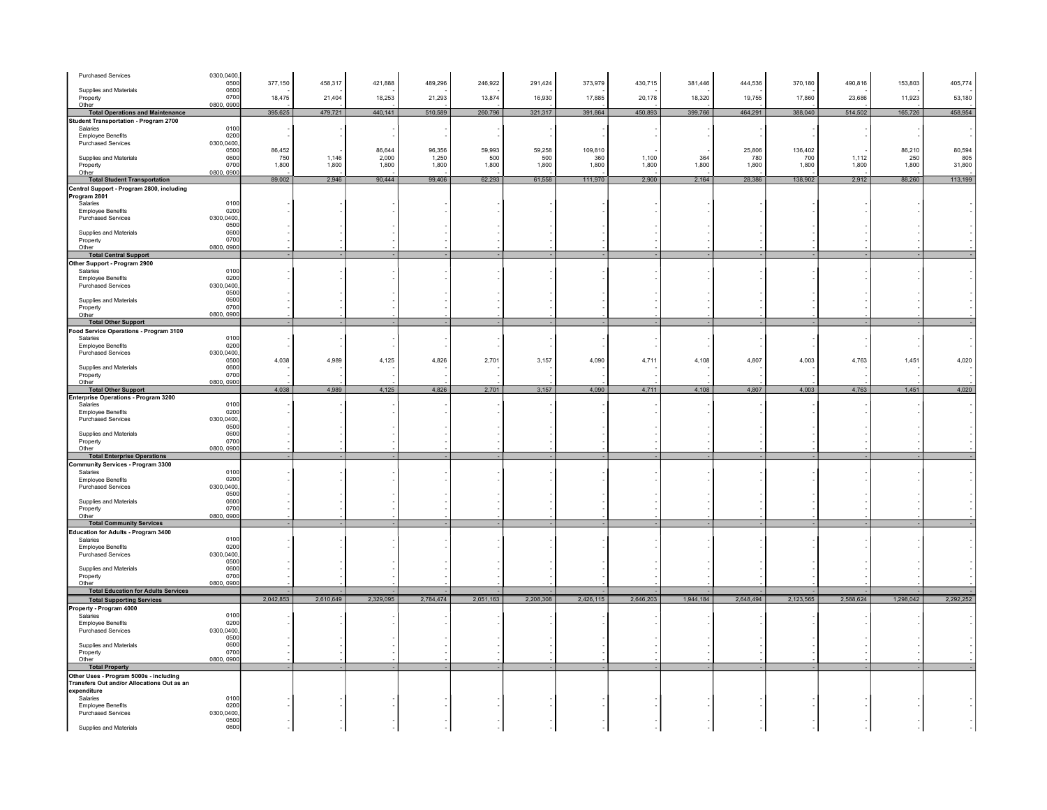| <b>Purchased Services</b>                              | 0300,0400,<br>0500 |           |           |           |           |           |           |           |           |           |           |           |           |           |           |
|--------------------------------------------------------|--------------------|-----------|-----------|-----------|-----------|-----------|-----------|-----------|-----------|-----------|-----------|-----------|-----------|-----------|-----------|
| Supplies and Materials                                 | 0600               | 377,150   | 458,317   | 421,888   | 489,296   | 246,922   | 291,424   | 373,979   | 430,715   | 381,446   | 444,536   | 370,180   | 490,816   | 153,803   | 405,774   |
| Property<br>Other                                      | 0700<br>0800, 0900 | 18,475    | 21,404    | 18,253    | 21,293    | 13,874    | 16,930    | 17,885    | 20,178    | 18,320    | 19,755    | 17,860    | 23,686    | 11,923    | 53,180    |
| <b>Total Operations and Maintenance</b>                |                    | 395,625   | 479,721   | 440,141   | 510,589   | 260,796   | 321,317   | 391,864   | 450,893   | 399,766   | 464,291   | 388,040   | 514,502   | 165,726   | 458,954   |
| <b>Student Transportation - Program 2700</b>           |                    |           |           |           |           |           |           |           |           |           |           |           |           |           |           |
| Salaries<br><b>Employee Benefits</b>                   | 0100<br>0200       |           |           |           |           |           |           |           |           |           |           |           |           |           |           |
| <b>Purchased Services</b>                              | 0300,0400          |           |           |           |           |           |           |           |           |           |           |           |           |           |           |
|                                                        | 0500               | 86,452    |           | 86,644    | 96,356    | 59,993    | 59,258    | 109,810   |           |           | 25,806    | 136,402   |           | 86,210    | 80,594    |
| Supplies and Materials                                 | 0600<br>070        | 750       | 1.146     | 2.000     | 1.250     | 500       | 500       | 360       | 1,100     | 364       | 780       | 700       | 1.112     | 250       | 805       |
| Property<br>Other                                      | 0800, 0900         | 1,800     | 1,800     | 1,800     | 1,800     | 1,800     | 1,800     | 1,800     | 1,800     | 1,800     | 1,800     | 1,800     | 1,800     | 1,800     | 31,800    |
| <b>Total Student Transportation</b>                    |                    | 89,002    | 2,946     | 90,444    | 99,406    | 62,293    | 61,558    | 111,970   | 2,900     | 2,164     | 28,386    | 138,902   | 2,912     | 88,260    | 113,199   |
| Central Support - Program 2800, including              |                    |           |           |           |           |           |           |           |           |           |           |           |           |           |           |
| Program 2801                                           |                    |           |           |           |           |           |           |           |           |           |           |           |           |           |           |
| Salaries                                               | 0100<br>0200       |           |           |           |           |           |           |           |           |           |           |           |           |           |           |
| <b>Employee Benefits</b><br><b>Purchased Services</b>  | 0300,0400          |           |           |           |           |           |           |           |           |           |           |           |           |           |           |
|                                                        | 0500               |           |           |           |           |           |           |           |           |           |           |           |           |           |           |
| Supplies and Materials                                 | 0600               |           |           |           |           |           |           |           |           |           |           |           |           |           |           |
| Property                                               | 0700               |           |           |           |           |           |           |           |           |           |           |           |           |           |           |
| Other<br><b>Total Central Support</b>                  | 0800, 0900         |           |           |           |           |           |           |           |           |           |           |           |           |           |           |
| Other Support - Program 2900                           |                    |           |           |           |           |           |           |           |           |           |           |           |           |           |           |
| Salaries                                               | 0100               |           |           |           |           |           |           |           |           |           |           |           |           |           |           |
| <b>Employee Benefits</b>                               | 0200               |           |           |           |           |           |           |           |           |           |           |           |           |           |           |
| <b>Purchased Services</b>                              | 0300,0400          |           |           |           |           |           |           |           |           |           |           |           |           |           |           |
| Supplies and Materials                                 | 0500<br>0600       |           |           |           |           |           |           |           |           |           |           |           |           |           |           |
| Property                                               | 0700               |           |           |           |           |           |           |           |           |           |           |           |           |           |           |
| Other                                                  | 0800, 0900         |           |           |           |           |           |           |           |           |           |           |           |           |           |           |
| <b>Total Other Support</b>                             |                    |           |           |           |           |           |           |           |           |           |           |           |           |           |           |
| ood Service Operations - Program 3100                  |                    |           |           |           |           |           |           |           |           |           |           |           |           |           |           |
| Salaries<br><b>Employee Benefits</b>                   | 0100<br>0200       |           |           |           |           |           |           |           |           |           |           |           |           |           |           |
| <b>Purchased Services</b>                              | 0300,0400          |           |           |           |           |           |           |           |           |           |           |           |           |           |           |
|                                                        | 0500               | 4,038     | 4,989     | 4,125     | 4,826     | 2,701     | 3,157     | 4,090     | 4,711     | 4,108     | 4,807     | 4,003     | 4,763     | 1,451     | 4,020     |
| Supplies and Materials                                 | 0600<br>0700       |           |           |           |           |           |           |           |           |           |           |           |           |           |           |
| Property<br>Other                                      | 0800, 090          |           |           |           |           |           |           |           |           |           |           |           |           |           |           |
| <b>Total Other Support</b>                             |                    | 4,038     | 4,989     | 4,125     | 4,826     | 2,701     | 3,157     | 4,090     | 4,711     | 4,108     | 4,807     | 4,003     | 4,763     | 1,451     | 4,020     |
| Enterprise Operations - Program 3200                   |                    |           |           |           |           |           |           |           |           |           |           |           |           |           |           |
| Salaries                                               | 0100               |           |           |           |           |           |           |           |           |           |           |           |           |           |           |
| <b>Employee Benefits</b>                               | 0200<br>0300,0400  |           |           |           |           |           |           |           |           |           |           |           |           |           |           |
| <b>Purchased Services</b>                              | 0500               |           |           |           |           |           |           |           |           |           |           |           |           |           |           |
| Supplies and Materials                                 | 0600               |           |           |           |           |           |           |           |           |           |           |           |           |           |           |
| Property                                               | 0700               |           |           |           |           |           |           |           |           |           |           |           |           |           |           |
| Other<br><b>Total Enterprise Operations</b>            | 0800, 0900         |           |           |           |           |           |           |           |           |           |           |           |           |           |           |
| Community Services - Program 3300                      |                    |           |           |           |           |           |           |           |           |           |           |           |           |           |           |
| <b>Salaries</b>                                        | 0100               |           |           |           |           |           |           |           |           |           |           |           |           |           |           |
| <b>Employee Benefits</b>                               | 0200               |           |           |           |           |           |           |           |           |           |           |           |           |           |           |
| <b>Purchased Services</b>                              | 0300,0400<br>0500  |           |           |           |           |           |           |           |           |           |           |           |           |           |           |
| Supplies and Materials                                 | 0600               |           |           |           |           |           |           |           |           |           |           |           |           |           |           |
| Property                                               | 0700               |           |           |           |           |           |           |           |           |           |           |           |           |           |           |
| Other                                                  | 0800, 0900         |           |           |           |           |           |           |           |           |           |           |           |           |           |           |
| <b>Total Community Services</b>                        |                    |           |           |           |           |           |           |           |           |           |           |           |           |           |           |
| <b>Education for Adults - Program 3400</b><br>Salaries | 0100               |           |           |           |           |           |           |           |           |           |           |           |           |           |           |
| <b>Employee Benefits</b>                               | 0200               |           |           |           |           |           |           |           |           |           |           |           |           |           |           |
| <b>Purchased Services</b>                              | 0300,0400          |           |           |           |           |           |           |           |           |           |           |           |           |           |           |
|                                                        | 0500               |           |           |           |           |           |           |           |           |           |           |           |           |           |           |
| Supplies and Materials<br>Property                     | 0600<br>070        |           |           |           |           |           |           |           |           |           |           |           |           |           |           |
| Other                                                  | 0800, 0900         |           |           |           |           |           |           |           |           |           |           |           |           |           |           |
| <b>Total Education for Adults Services</b>             |                    |           |           |           |           |           |           |           |           |           |           |           |           |           |           |
| <b>Total Supporting Services</b>                       |                    | 2,042,853 | 2,610,649 | 2,329,095 | 2,784,474 | 2,051,163 | 2,208,308 | 2,426,115 | 2,646,203 | 1,944,184 | 2,648,494 | 2,123,565 | 2,588,624 | 1,298,042 | 2,292,252 |
| Property - Program 4000                                |                    |           |           |           |           |           |           |           |           |           |           |           |           |           |           |
| Salaries<br><b>Employee Benefits</b>                   | 0100<br>0200       |           |           |           |           |           |           |           |           |           |           |           |           |           |           |
| <b>Purchased Services</b>                              | 0300,0400          |           |           |           |           |           |           |           |           |           |           |           |           |           |           |
|                                                        | 0500               |           |           |           |           |           |           |           |           |           |           |           |           |           |           |
| Supplies and Materials                                 | 0600               |           |           |           |           |           |           |           |           |           |           |           |           |           |           |
| Property                                               | 0700<br>0800, 0900 |           |           |           |           |           |           |           |           |           |           |           |           |           |           |
| Other<br><b>Total Property</b>                         |                    |           |           |           |           |           |           |           |           |           |           |           |           |           |           |
| Other Uses - Program 5000s - including                 |                    |           |           |           |           |           |           |           |           |           |           |           |           |           |           |
| Transfers Out and/or Allocations Out as an             |                    |           |           |           |           |           |           |           |           |           |           |           |           |           |           |
| expenditure                                            |                    |           |           |           |           |           |           |           |           |           |           |           |           |           |           |
| Salaries<br><b>Employee Benefits</b>                   | 0100<br>0200       |           |           |           |           |           |           |           |           |           |           |           |           |           |           |
| <b>Purchased Services</b>                              | 0300,0400,         |           |           |           |           |           |           |           |           |           |           |           |           |           |           |
|                                                        |                    |           |           |           |           |           |           |           |           |           |           |           |           |           |           |
| Supplies and Materials                                 | 0500<br>0600       |           |           |           |           |           |           |           |           |           |           |           |           |           |           |